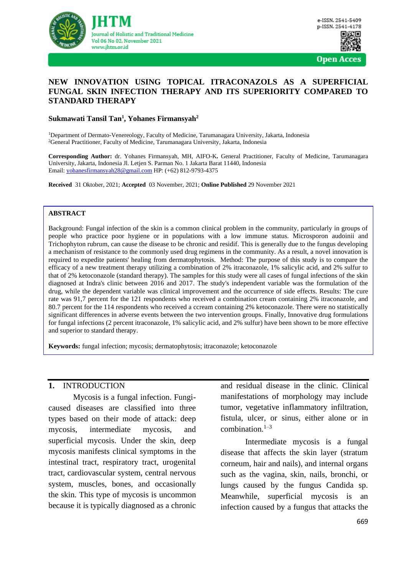

#### **NEW INNOVATION USING TOPICAL ITRACONAZOLS AS A SUPERFICIAL FUNGAL SKIN INFECTION THERAPY AND ITS SUPERIORITY COMPARED TO STANDARD THERAPY**

#### **Sukmawati Tansil Tan<sup>1</sup> , Yohanes Firmansyah<sup>2</sup>**

<sup>1</sup>Department of Dermato-Venereology, Faculty of Medicine, Tarumanagara University, Jakarta, Indonesia <sup>2</sup>General Practitioner, Faculty of Medicine, Tarumanagara University, Jakarta, Indonesia

**Corresponding Author:** dr. Yohanes Firmansyah, MH, AIFO-K**.** General Practitioner, Faculty of Medicine, Tarumanagara University, Jakarta, Indonesia Jl. Letjen S. Parman No. 1 Jakarta Barat 11440, Indonesia Email: [yohanesfirmansyah28@gmail.com](mailto:yohanesfirmansyah28@gmail.com) HP: (+62) 812-9793-4375

**Received** 31 Oktober, 2021; **Accepted** 03 November, 2021; **Online Published** 29 November 2021

#### **ABSTRACT**

Background: Fungal infection of the skin is a common clinical problem in the community, particularly in groups of people who practice poor hygiene or in populations with a low immune status. Microsporon audoinii and Trichophyton rubrum, can cause the disease to be chronic and residif. This is generally due to the fungus developing a mechanism of resistance to the commonly used drug regimens in the community. As a result, a novel innovation is required to expedite patients' healing from dermatophytosis. Method: The purpose of this study is to compare the efficacy of a new treatment therapy utilizing a combination of 2% itraconazole, 1% salicylic acid, and 2% sulfur to that of 2% ketoconazole (standard therapy). The samples for this study were all cases of fungal infections of the skin diagnosed at Indra's clinic between 2016 and 2017. The study's independent variable was the formulation of the drug, while the dependent variable was clinical improvement and the occurrence of side effects. Results: The cure rate was 91,7 percent for the 121 respondents who received a combination cream containing 2% itraconazole, and 80.7 percent for the 114 respondents who received a ccream containing 2% ketoconazole. There were no statistically significant differences in adverse events between the two intervention groups. Finally, Innovative drug formulations for fungal infections (2 percent itraconazole, 1% salicylic acid, and 2% sulfur) have been shown to be more effective and superior to standard therapy.

**Keywords:** fungal infection; mycosis; dermatophytosis; itraconazole; ketoconazole

#### **1.** INTRODUCTION

Mycosis is a fungal infection. Fungicaused diseases are classified into three types based on their mode of attack: deep mycosis, intermediate mycosis, and superficial mycosis. Under the skin, deep mycosis manifests clinical symptoms in the intestinal tract, respiratory tract, urogenital tract, cardiovascular system, central nervous system, muscles, bones, and occasionally the skin. This type of mycosis is uncommon because it is typically diagnosed as a chronic

and residual disease in the clinic. Clinical manifestations of morphology may include tumor, vegetative inflammatory infiltration, fistula, ulcer, or sinus, either alone or in combination. $1-3$ 

Intermediate mycosis is a fungal disease that affects the skin layer (stratum corneum, hair and nails), and internal organs such as the vagina, skin, nails, bronchi, or lungs caused by the fungus Candida sp. Meanwhile, superficial mycosis is an infection caused by a fungus that attacks the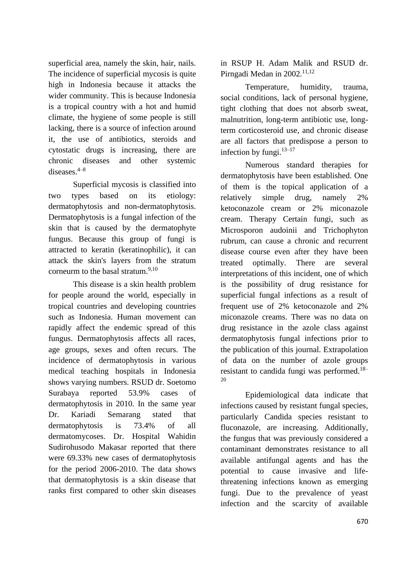superficial area, namely the skin, hair, nails. The incidence of superficial mycosis is quite high in Indonesia because it attacks the wider community. This is because Indonesia is a tropical country with a hot and humid climate, the hygiene of some people is still lacking, there is a source of infection around it, the use of antibiotics, steroids and cytostatic drugs is increasing, there are chronic diseases and other systemic diseases  $4-8$ 

Superficial mycosis is classified into two types based on its etiology: dermatophytosis and non-dermatophytosis. Dermatophytosis is a fungal infection of the skin that is caused by the dermatophyte fungus. Because this group of fungi is attracted to keratin (keratinophilic), it can attack the skin's layers from the stratum corneurm to the basal stratum.<sup>9,10</sup>

This disease is a skin health problem for people around the world, especially in tropical countries and developing countries such as Indonesia. Human movement can rapidly affect the endemic spread of this fungus. Dermatophytosis affects all races, age groups, sexes and often recurs. The incidence of dermatophytosis in various medical teaching hospitals in Indonesia shows varying numbers. RSUD dr. Soetomo Surabaya reported 53.9% cases of dermatophytosis in 2010. In the same year Dr. Kariadi Semarang stated that dermatophytosis is 73.4% of all dermatomycoses. Dr. Hospital Wahidin Sudirohusodo Makasar reported that there were 69.33% new cases of dermatophytosis for the period 2006-2010. The data shows that dermatophytosis is a skin disease that ranks first compared to other skin diseases

in RSUP H. Adam Malik and RSUD dr. Pirngadi Medan in 2002.<sup>11,12</sup>

Temperature, humidity, trauma, social conditions, lack of personal hygiene, tight clothing that does not absorb sweat, malnutrition, long-term antibiotic use, longterm corticosteroid use, and chronic disease are all factors that predispose a person to infection by fungi.<sup>13-17</sup>

Numerous standard therapies for dermatophytosis have been established. One of them is the topical application of a relatively simple drug, namely 2% ketoconazole cream or 2% miconazole cream. Therapy Certain fungi, such as Microsporon audoinii and Trichophyton rubrum, can cause a chronic and recurrent disease course even after they have been treated optimally. There are several interpretations of this incident, one of which is the possibility of drug resistance for superficial fungal infections as a result of frequent use of 2% ketoconazole and 2% miconazole creams. There was no data on drug resistance in the azole class against dermatophytosis fungal infections prior to the publication of this journal. Extrapolation of data on the number of azole groups resistant to candida fungi was performed.18– 20

Epidemiological data indicate that infections caused by resistant fungal species, particularly Candida species resistant to fluconazole, are increasing. Additionally, the fungus that was previously considered a contaminant demonstrates resistance to all available antifungal agents and has the potential to cause invasive and lifethreatening infections known as emerging fungi. Due to the prevalence of yeast infection and the scarcity of available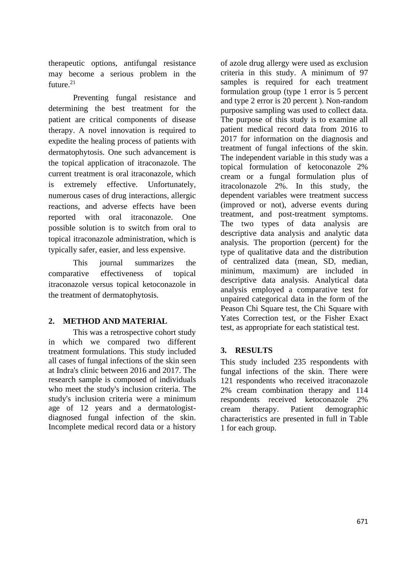therapeutic options, antifungal resistance may become a serious problem in the future. $21$ 

Preventing fungal resistance and determining the best treatment for the patient are critical components of disease therapy. A novel innovation is required to expedite the healing process of patients with dermatophytosis. One such advancement is the topical application of itraconazole. The current treatment is oral itraconazole, which is extremely effective. Unfortunately, numerous cases of drug interactions, allergic reactions, and adverse effects have been reported with oral itraconazole. One possible solution is to switch from oral to topical itraconazole administration, which is typically safer, easier, and less expensive.

This journal summarizes the comparative effectiveness of topical itraconazole versus topical ketoconazole in the treatment of dermatophytosis.

# **2. METHOD AND MATERIAL**

This was a retrospective cohort study in which we compared two different treatment formulations. This study included all cases of fungal infections of the skin seen at Indra's clinic between 2016 and 2017. The research sample is composed of individuals who meet the study's inclusion criteria. The study's inclusion criteria were a minimum age of 12 years and a dermatologistdiagnosed fungal infection of the skin. Incomplete medical record data or a history

of azole drug allergy were used as exclusion criteria in this study. A minimum of 97 samples is required for each treatment formulation group (type 1 error is 5 percent and type 2 error is 20 percent ). Non-random purposive sampling was used to collect data. The purpose of this study is to examine all patient medical record data from 2016 to 2017 for information on the diagnosis and treatment of fungal infections of the skin. The independent variable in this study was a topical formulation of ketoconazole 2% cream or a fungal formulation plus of itracolonazole 2%. In this study, the dependent variables were treatment success (improved or not), adverse events during treatment, and post-treatment symptoms. The two types of data analysis are descriptive data analysis and analytic data analysis. The proportion (percent) for the type of qualitative data and the distribution of centralized data (mean, SD, median, minimum, maximum) are included in descriptive data analysis. Analytical data analysis employed a comparative test for unpaired categorical data in the form of the Peason Chi Square test, the Chi Square with Yates Correction test, or the Fisher Exact test, as appropriate for each statistical test.

# **3. RESULTS**

This study included 235 respondents with fungal infections of the skin. There were 121 respondents who received itraconazole 2% cream combination therapy and 114 respondents received ketoconazole 2% cream therapy. Patient demographic characteristics are presented in full in Table 1 for each group.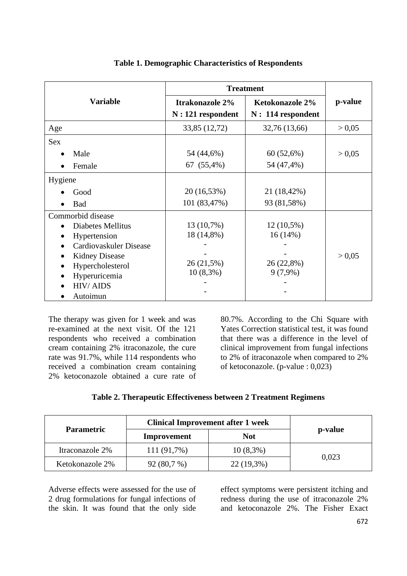|                                | <b>Treatment</b>                       |                                               |         |
|--------------------------------|----------------------------------------|-----------------------------------------------|---------|
| <b>Variable</b>                | Itrakonazole 2%<br>$N: 121$ respondent | <b>Ketokonazole 2%</b><br>$N: 114$ respondent | p-value |
| Age                            | 33,85 (12,72)                          | 32,76 (13,66)                                 | > 0,05  |
| <b>Sex</b>                     |                                        |                                               |         |
| Male                           | 54 (44,6%)                             | 60(52,6%)                                     | > 0.05  |
| Female                         | 67 (55,4%)                             | 54 (47,4%)                                    |         |
| Hygiene                        |                                        |                                               |         |
| Good                           | 20 (16,53%)                            | 21 (18,42%)                                   |         |
| <b>Bad</b>                     | 101 (83,47%)                           | 93 (81,58%)                                   |         |
| Commorbid disease              |                                        |                                               |         |
| Diabetes Mellitus<br>$\bullet$ | 13 (10,7%)                             | $12(10,5\%)$                                  |         |
| Hypertension                   | 18 (14,8%)                             | 16(14%)                                       |         |
| Cardiovaskuler Disease         |                                        |                                               |         |
| <b>Kidney Disease</b>          |                                        |                                               | > 0.05  |
| Hypercholesterol               | 26(21,5%)                              | 26 (22,8%)                                    |         |
| Hyperuricemia                  | $10(8,3\%)$                            | $9(7,9\%)$                                    |         |
| <b>HIV/AIDS</b>                |                                        |                                               |         |
| Autoimun                       |                                        |                                               |         |

#### **Table 1. Demographic Characteristics of Respondents**

The therapy was given for 1 week and was re-examined at the next visit. Of the 121 respondents who received a combination cream containing 2% itraconazole, the cure rate was 91.7%, while 114 respondents who received a combination cream containing 2% ketoconazole obtained a cure rate of

80.7%. According to the Chi Square with Yates Correction statistical test, it was found that there was a difference in the level of clinical improvement from fungal infections to 2% of itraconazole when compared to 2% of ketoconazole. (p-value : 0,023)

### **Table 2. Therapeutic Effectiveness between 2 Treatment Regimens**

| <b>Parametric</b> | <b>Clinical Improvement after 1 week</b> |              |         |  |
|-------------------|------------------------------------------|--------------|---------|--|
|                   | Improvement                              | <b>Not</b>   | p-value |  |
| Itraconazole 2%   | 111 (91,7%)                              | $10(8,3\%)$  | 0,023   |  |
| Ketokonazole 2%   | 92(80,7%)                                | $22(19,3\%)$ |         |  |

Adverse effects were assessed for the use of 2 drug formulations for fungal infections of the skin. It was found that the only side

effect symptoms were persistent itching and redness during the use of itraconazole 2% and ketoconazole 2%. The Fisher Exact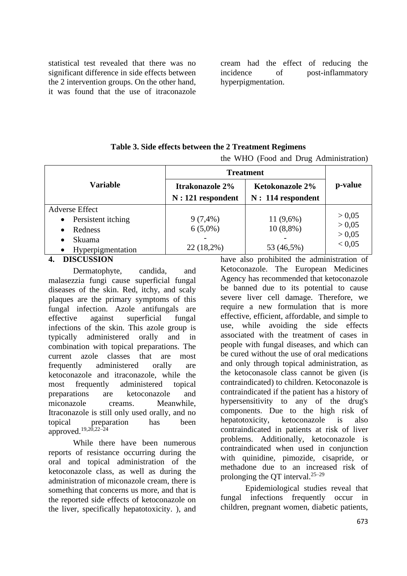statistical test revealed that there was no significant difference in side effects between the 2 intervention groups. On the other hand, it was found that the use of itraconazole

cream had the effect of reducing the incidence of post-inflammatory hyperpigmentation.

### **Table 3. Side effects between the 2 Treatment Regimens**

the WHO (Food and Drug Administration)

|                       | <b>Treatment</b>                       |                                               |                  |
|-----------------------|----------------------------------------|-----------------------------------------------|------------------|
| <b>Variable</b>       | Itrakonazole 2%<br>$N: 121$ respondent | <b>Ketokonazole 2%</b><br>$N: 114$ respondent | p-value          |
| <b>Adverse Effect</b> |                                        |                                               |                  |
| Persistent itching    | $9(7,4\%)$                             | $11(9,6\%)$                                   | > 0.05           |
| Redness               | $6(5,0\%)$                             | $10(8,8\%)$                                   | > 0.05           |
| Skuama                |                                        |                                               | > 0.05<br>< 0.05 |
| Hyperpigmentation     | $22(18,2\%)$                           | 53 (46,5%)                                    |                  |
| <b>DIGOTIONIANI</b>   |                                        | $1.11.1$ $1.11.1$                             | $\cdots$         |

### **4. DISCUSSION**

Dermatophyte, candida, and malasezzia fungi cause superficial fungal diseases of the skin. Red, itchy, and scaly plaques are the primary symptoms of this fungal infection. Azole antifungals are effective against superficial fungal infections of the skin. This azole group is typically administered orally and in combination with topical preparations. The current azole classes that are most frequently administered orally are ketoconazole and itraconazole, while the most frequently administered topical preparations are ketoconazole and miconazole creams. Meanwhile, Itraconazole is still only used orally, and no topical preparation has been approved.19,20,22–24

While there have been numerous reports of resistance occurring during the oral and topical administration of the ketoconazole class, as well as during the administration of miconazole cream, there is something that concerns us more, and that is the reported side effects of ketoconazole on the liver, specifically hepatotoxicity. ), and

have also prohibited the administration of Ketoconazole. The European Medicines Agency has recommended that ketoconazole be banned due to its potential to cause severe liver cell damage. Therefore, we require a new formulation that is more effective, efficient, affordable, and simple to use, while avoiding the side effects associated with the treatment of cases in people with fungal diseases, and which can be cured without the use of oral medications and only through topical administration, as the ketoconasole class cannot be given (is contraindicated) to children. Ketoconazole is contraindicated if the patient has a history of hypersensitivity to any of the drug's components. Due to the high risk of hepatotoxicity, ketoconazole is also contraindicated in patients at risk of liver problems. Additionally, ketoconazole is contraindicated when used in conjunction with quinidine, pimozide, cisapride, or methadone due to an increased risk of prolonging the QT interval. $25-29$ 

Epidemiological studies reveal that fungal infections frequently occur in children, pregnant women, diabetic patients,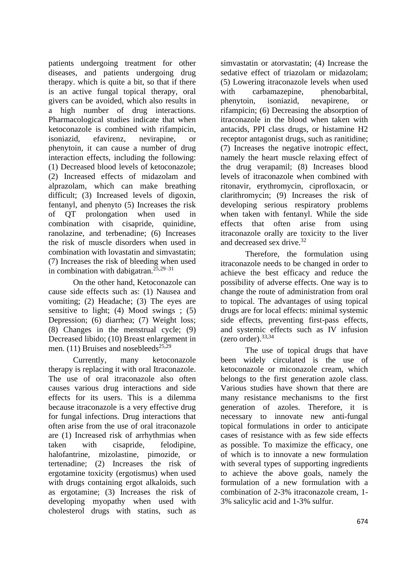patients undergoing treatment for other diseases, and patients undergoing drug therapy. which is quite a bit, so that if there is an active fungal topical therapy, oral givers can be avoided, which also results in a high number of drug interactions. Pharmacological studies indicate that when ketoconazole is combined with rifampicin, isoniazid, efavirenz, nevirapine, or phenytoin, it can cause a number of drug interaction effects, including the following: (1) Decreased blood levels of ketoconazole; (2) Increased effects of midazolam and alprazolam, which can make breathing difficult; (3) Increased levels of digoxin, fentanyl, and phenyto (5) Increases the risk of QT prolongation when used in combination with cisapride, quinidine, ranolazine, and terbenadine; (6) Increases the risk of muscle disorders when used in combination with lovastatin and simvastatin; (7) Increases the risk of bleeding when used in combination with dabigatran.<sup>25,29–31</sup>

On the other hand, Ketoconazole can cause side effects such as: (1) Nausea and vomiting; (2) Headache; (3) The eyes are sensitive to light; (4) Mood swings ; (5) Depression; (6) diarrhea; (7) Weight loss; (8) Changes in the menstrual cycle; (9) Decreased libido; (10) Breast enlargement in men. (11) Bruises and nosebleeds<sup>25,29</sup>

Currently, many ketoconazole therapy is replacing it with oral Itraconazole. The use of oral itraconazole also often causes various drug interactions and side effects for its users. This is a dilemma because itraconazole is a very effective drug for fungal infections. Drug interactions that often arise from the use of oral itraconazole are (1) Increased risk of arrhythmias when taken with cisapride, felodipine, halofantrine, mizolastine, pimozide, or tertenadine; (2) Increases the risk of ergotamine toxicity (ergotismus) when used with drugs containing ergot alkaloids, such as ergotamine; (3) Increases the risk of developing myopathy when used with cholesterol drugs with statins, such as

simvastatin or atorvastatin; (4) Increase the sedative effect of triazolam or midazolam; (5) Lowering itraconazole levels when used with carbamazepine, phenobarbital, phenytoin, isoniazid, nevapirene, or rifampicin; (6) Decreasing the absorption of itraconazole in the blood when taken with antacids, PPI class drugs, or histamine H2 receptor antagonist drugs, such as ranitidine; (7) Increases the negative inotropic effect, namely the heart muscle relaxing effect of the drug verapamil; (8) Increases blood levels of itraconazole when combined with ritonavir, erythromycin, ciprofloxacin, or clarithromycin; (9) Increases the risk of developing serious respiratory problems when taken with fentanyl. While the side effects that often arise from using itraconazole orally are toxicity to the liver and decreased sex drive.<sup>32</sup>

Therefore, the formulation using itraconazole needs to be changed in order to achieve the best efficacy and reduce the possibility of adverse effects. One way is to change the route of administration from oral to topical. The advantages of using topical drugs are for local effects: minimal systemic side effects, preventing first-pass effects, and systemic effects such as IV infusion  $(zero order).$ <sup>33,34</sup>

The use of topical drugs that have been widely circulated is the use of ketoconazole or miconazole cream, which belongs to the first generation azole class. Various studies have shown that there are many resistance mechanisms to the first generation of azoles. Therefore, it is necessary to innovate new anti-fungal topical formulations in order to anticipate cases of resistance with as few side effects as possible. To maximize the efficacy, one of which is to innovate a new formulation with several types of supporting ingredients to achieve the above goals, namely the formulation of a new formulation with a combination of 2-3% itraconazole cream, 1- 3% salicylic acid and 1-3% sulfur.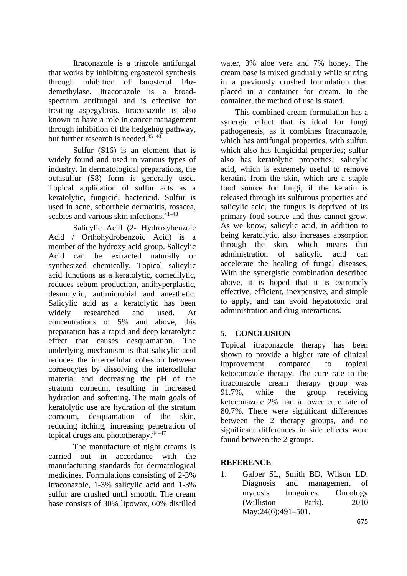Itraconazole is a triazole antifungal that works by inhibiting ergosterol synthesis through inhibition of lanosterol  $14\alpha$ demethylase. Itraconazole is a broadspectrum antifungal and is effective for treating aspegylosis. Itraconazole is also known to have a role in cancer management through inhibition of the hedgehog pathway, but further research is needed.<sup>35-40</sup>

Sulfur (S16) is an element that is widely found and used in various types of industry. In dermatological preparations, the octasulfur (S8) form is generally used. Topical application of sulfur acts as a keratolytic, fungicid, bactericid. Sulfur is used in acne, seborrheic dermatitis, rosacea, scabies and various skin infections.<sup>41-43</sup>

Salicylic Acid (2- Hydroxybenzoic Acid / Orthohydrobenzoic Acid) is a member of the hydroxy acid group. Salicylic Acid can be extracted naturally or synthesized chemically. Topical salicylic acid functions as a keratolytic, comedilytic, reduces sebum production, antihyperplastic, desmolytic, antimicrobial and anesthetic. Salicylic acid as a keratolytic has been widely researched and used. At concentrations of 5% and above, this preparation has a rapid and deep keratolytic effect that causes desquamation. The underlying mechanism is that salicylic acid reduces the intercellular cohesion between corneocytes by dissolving the intercellular material and decreasing the pH of the stratum corneum, resulting in increased hydration and softening. The main goals of keratolytic use are hydration of the stratum corneum, desquamation of the skin, reducing itching, increasing penetration of topical drugs and phototherapy.44–47

The manufacture of night creams is carried out in accordance with the manufacturing standards for dermatological medicines. Formulations consisting of 2-3% itraconazole, 1-3% salicylic acid and 1-3% sulfur are crushed until smooth. The cream base consists of 30% lipowax, 60% distilled

water, 3% aloe vera and 7% honey. The cream base is mixed gradually while stirring in a previously crushed formulation then placed in a container for cream. In the container, the method of use is stated.

This combined cream formulation has a synergic effect that is ideal for fungi pathogenesis, as it combines Itraconazole, which has antifungal properties, with sulfur, which also has fungicidal properties; sulfur also has keratolytic properties; salicylic acid, which is extremely useful to remove keratins from the skin, which are a staple food source for fungi, if the keratin is released through its sulfurous properties and salicylic acid, the fungus is deprived of its primary food source and thus cannot grow. As we know, salicylic acid, in addition to being keratolytic, also increases absorption through the skin, which means that administration of salicylic acid can accelerate the healing of fungal diseases. With the synergistic combination described above, it is hoped that it is extremely effective, efficient, inexpensive, and simple to apply, and can avoid hepatotoxic oral administration and drug interactions.

# **5. CONCLUSION**

Topical itraconazole therapy has been shown to provide a higher rate of clinical improvement compared to topical ketoconazole therapy. The cure rate in the itraconazole cream therapy group was 91.7%, while the group receiving ketoconazole 2% had a lower cure rate of 80.7%. There were significant differences between the 2 therapy groups, and no significant differences in side effects were found between the 2 groups.

### **REFERENCE**

1. Galper SL, Smith BD, Wilson LD. Diagnosis and management of mycosis fungoides. Oncology (Williston Park). 2010 May; 24(6): 491 – 501.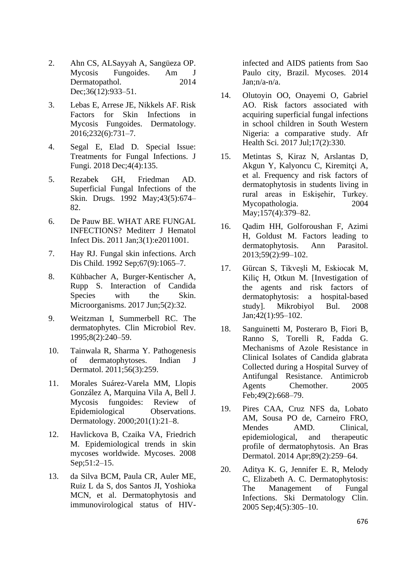- 2. Ahn CS, ALSayyah A, Sangüeza OP. Mycosis Fungoides. Am J Dermatopathol. 2014 Dec;36(12):933–51.
- 3. Lebas E, Arrese JE, Nikkels AF. Risk Factors for Skin Infections in Mycosis Fungoides. Dermatology. 2016;232(6):731–7.
- 4. Segal E, Elad D. Special Issue: Treatments for Fungal Infections. J Fungi. 2018 Dec;4(4):135.
- 5. Rezabek GH, Friedman AD. Superficial Fungal Infections of the Skin. Drugs. 1992 May;43(5):674– 82.
- 6. De Pauw BE. WHAT ARE FUNGAL INFECTIONS? Mediterr J Hematol Infect Dis. 2011 Jan;3(1):e2011001.
- 7. Hay RJ. Fungal skin infections. Arch Dis Child. 1992 Sep;67(9):1065–7.
- 8. Kühbacher A, Burger-Kentischer A, Rupp S. Interaction of Candida Species with the Skin. Microorganisms. 2017 Jun;5(2):32.
- 9. Weitzman I, Summerbell RC. The dermatophytes. Clin Microbiol Rev. 1995;8(2):240–59.
- 10. Tainwala R, Sharma Y. Pathogenesis of dermatophytoses. Indian J Dermatol. 2011;56(3):259.
- 11. Morales Suárez-Varela MM, Llopis González A, Marquina Vila A, Bell J. Mycosis fungoides: Review of Epidemiological Observations. Dermatology. 2000;201(1):21–8.
- 12. Havlickova B, Czaika VA, Friedrich M. Epidemiological trends in skin mycoses worldwide. Mycoses. 2008 Sep;51:2–15.
- 13. da Silva BCM, Paula CR, Auler ME, Ruiz L da S, dos Santos JI, Yoshioka MCN, et al. Dermatophytosis and immunovirological status of HIV-

infected and AIDS patients from Sao Paulo city, Brazil. Mycoses. 2014 Jan;n/a-n/a.

- 14. Olutoyin OO, Onayemi O, Gabriel AO. Risk factors associated with acquiring superficial fungal infections in school children in South Western Nigeria: a comparative study. Afr Health Sci. 2017 Jul;17(2):330.
- 15. Metintas S, Kiraz N, Arslantas D, Akgun Y, Kalyoncu C, Kiremitçi A, et al. Frequency and risk factors of dermatophytosis in students living in rural areas in Eskişehir, Turkey. Mycopathologia. 2004 May;157(4):379–82.
- 16. Qadim HH, Golforoushan F, Azimi H, Goldust M. Factors leading to dermatophytosis. Ann Parasitol. 2013;59(2):99–102.
- 17. Gürcan S, Tikveşli M, Eskiocak M, Kiliç H, Otkun M. [Investigation of the agents and risk factors of dermatophytosis: a hospital-based study]. Mikrobiyol Bul. 2008 Jan;42(1):95–102.
- 18. Sanguinetti M, Posteraro B, Fiori B, Ranno S, Torelli R, Fadda G. Mechanisms of Azole Resistance in Clinical Isolates of Candida glabrata Collected during a Hospital Survey of Antifungal Resistance. Antimicrob Agents Chemother. 2005 Feb;49(2):668–79.
- 19. Pires CAA, Cruz NFS da, Lobato AM, Sousa PO de, Carneiro FRO, Mendes AMD. Clinical, epidemiological, and therapeutic profile of dermatophytosis. An Bras Dermatol. 2014 Apr;89(2):259–64.
- 20. Aditya K. G, Jennifer E. R, Melody C, Elizabeth A. C. Dermatophytosis: The Management of Fungal Infections. Ski Dermatology Clin. 2005 Sep;4(5):305–10.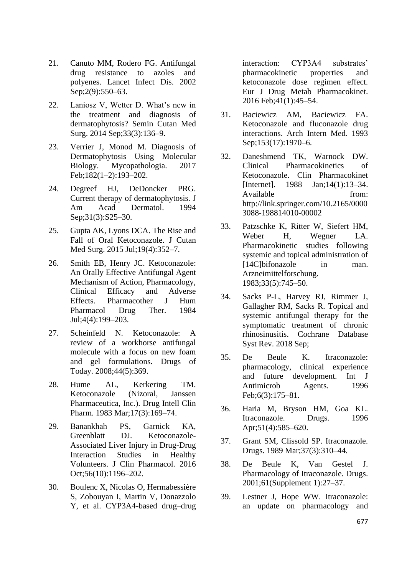- 21. Canuto MM, Rodero FG. Antifungal drug resistance to azoles and polyenes. Lancet Infect Dis. 2002 Sep;2(9):550–63.
- 22. Laniosz V, Wetter D. What's new in the treatment and diagnosis of dermatophytosis? Semin Cutan Med Surg. 2014 Sep;33(3):136–9.
- 23. Verrier J, Monod M. Diagnosis of Dermatophytosis Using Molecular Biology. Mycopathologia. 2017 Feb;182(1–2):193–202.
- 24. Degreef HJ, DeDoncker PRG. Current therapy of dermatophytosis. J Am Acad Dermatol. 1994 Sep;31(3):S25–30.
- 25. Gupta AK, Lyons DCA. The Rise and Fall of Oral Ketoconazole. J Cutan Med Surg. 2015 Jul;19(4):352–7.
- 26. Smith EB, Henry JC. Ketoconazole: An Orally Effective Antifungal Agent Mechanism of Action, Pharmacology, Clinical Efficacy and Adverse Effects. Pharmacother J Hum Pharmacol Drug Ther. 1984 Jul;4(4):199–203.
- 27. Scheinfeld N. Ketoconazole: A review of a workhorse antifungal molecule with a focus on new foam and gel formulations. Drugs of Today. 2008;44(5):369.
- 28. Hume AL, Kerkering TM. Ketoconazole (Nizoral, Janssen Pharmaceutica, Inc.). Drug Intell Clin Pharm. 1983 Mar;17(3):169–74.
- 29. Banankhah PS, Garnick KA, Greenblatt DJ. Ketoconazole-Associated Liver Injury in Drug-Drug Interaction Studies in Healthy Volunteers. J Clin Pharmacol. 2016 Oct;56(10):1196–202.
- 30. Boulenc X, Nicolas O, Hermabessière S, Zobouyan I, Martin V, Donazzolo Y, et al. CYP3A4-based drug–drug

interaction: CYP3A4 substrates' pharmacokinetic properties and ketoconazole dose regimen effect. Eur J Drug Metab Pharmacokinet. 2016 Feb;41(1):45–54.

- 31. Baciewicz AM, Baciewicz FA. Ketoconazole and fluconazole drug interactions. Arch Intern Med. 1993 Sep;153(17):1970–6.
- 32. Daneshmend TK, Warnock DW. Clinical Pharmacokinetics of Ketoconazole. Clin Pharmacokinet [Internet]. 1988 Jan;14(1):13–34. Available from: http://link.springer.com/10.2165/0000 3088-198814010-00002
- 33. Patzschke K, Ritter W, Siefert HM, Weber H, Wegner LA. Pharmacokinetic studies following systemic and topical administration of [14C]bifonazole in man. Arzneimittelforschung. 1983;33(5):745–50.
- 34. Sacks P-L, Harvey RJ, Rimmer J, Gallagher RM, Sacks R. Topical and systemic antifungal therapy for the symptomatic treatment of chronic rhinosinusitis. Cochrane Database Syst Rev. 2018 Sep;
- 35. De Beule K. Itraconazole: pharmacology, clinical experience and future development. Int J Antimicrob Agents. 1996 Feb;6(3):175–81.
- 36. Haria M, Bryson HM, Goa KL. Itraconazole. Drugs. 1996 Apr;51(4):585–620.
- 37. Grant SM, Clissold SP. Itraconazole. Drugs. 1989 Mar;37(3):310–44.
- 38. De Beule K, Van Gestel J. Pharmacology of Itraconazole. Drugs. 2001;61(Supplement 1):27–37.
- 39. Lestner J, Hope WW. Itraconazole: an update on pharmacology and